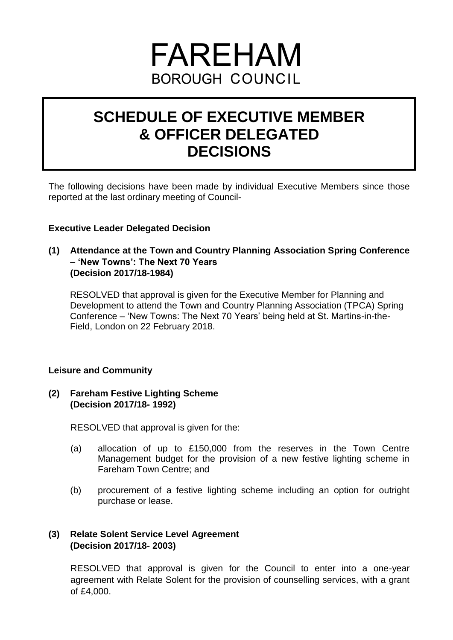# **FAREHAM**<br>BOROUGH COUNCIL

## **SCHEDULE OF EXECUTIVE MEMBER & OFFICER DELEGATED DECISIONS**

The following decisions have been made by individual Executive Members since those reported at the last ordinary meeting of Council-

#### **Executive Leader Delegated Decision**

#### **(1) Attendance at the Town and Country Planning Association Spring Conference – 'New Towns': The Next 70 Years (Decision 2017/18-1984)**

RESOLVED that approval is given for the Executive Member for Planning and Development to attend the Town and Country Planning Association (TPCA) Spring Conference – 'New Towns: The Next 70 Years' being held at St. Martins-in-the-Field, London on 22 February 2018.

#### **Leisure and Community**

#### **(2) Fareham Festive Lighting Scheme (Decision 2017/18- 1992)**

RESOLVED that approval is given for the:

- (a) allocation of up to £150,000 from the reserves in the Town Centre Management budget for the provision of a new festive lighting scheme in Fareham Town Centre; and
- (b) procurement of a festive lighting scheme including an option for outright purchase or lease.

### **(3) Relate Solent Service Level Agreement (Decision 2017/18- 2003)**

RESOLVED that approval is given for the Council to enter into a one-year agreement with Relate Solent for the provision of counselling services, with a grant of £4,000.